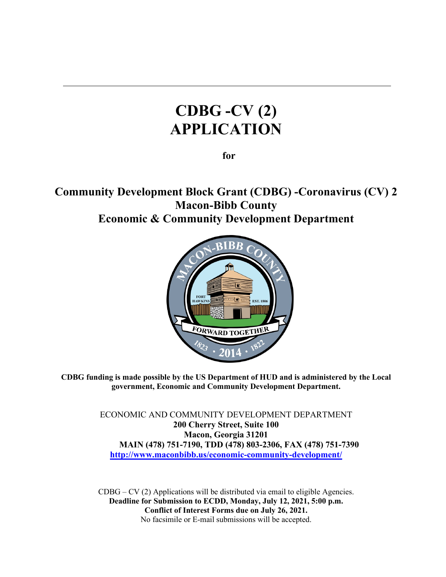# **CDBG -CV (2) APPLICATION**

 **for** 

**Community Development Block Grant (CDBG) -Coronavirus (CV) 2 Macon-Bibb County Economic & Community Development Department**



**CDBG funding is made possible by the US Department of HUD and is administered by the Local government, Economic and Community Development Department.** 

> ECONOMIC AND COMMUNITY DEVELOPMENT DEPARTMENT **200 Cherry Street, Suite 100 Macon, Georgia 31201 MAIN (478) 751-7190, TDD (478) 803-2306, FAX (478) 751-7390 [http://www.maconbibb.us/economic-community-development/](http://www.cityofmacon.net/citydept-ecd-neighborhoods)**

 $CDBG - CV (2)$  Applications will be distributed via email to eligible Agencies. **Deadline for Submission to ECDD, Monday, July 12, 2021, 5:00 p.m. Conflict of Interest Forms due on July 26, 2021.**  No facsimile or E-mail submissions will be accepted.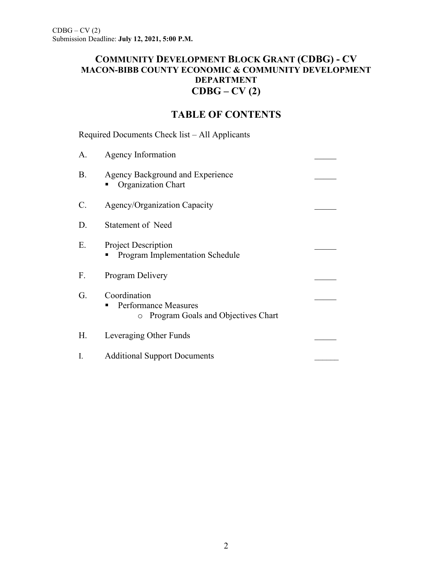# **COMMUNITY DEVELOPMENT BLOCK GRANT (CDBG) - CV MACON-BIBB COUNTY ECONOMIC & COMMUNITY DEVELOPMENT DEPARTMENT CDBG – CV (2)**

# **TABLE OF CONTENTS**

Required Documents Check list – All Applicants

| A.              | Agency Information                                                                           |  |
|-----------------|----------------------------------------------------------------------------------------------|--|
| <b>B.</b>       | Agency Background and Experience<br>Organization Chart                                       |  |
| $\mathcal{C}$ . | Agency/Organization Capacity                                                                 |  |
| D.              | <b>Statement of Need</b>                                                                     |  |
| E.              | <b>Project Description</b><br><b>Program Implementation Schedule</b>                         |  |
| F.              | Program Delivery                                                                             |  |
| G.              | Coordination<br><b>Performance Measures</b><br>Program Goals and Objectives Chart<br>$\circ$ |  |
| Η.              | Leveraging Other Funds                                                                       |  |
| I.              | <b>Additional Support Documents</b>                                                          |  |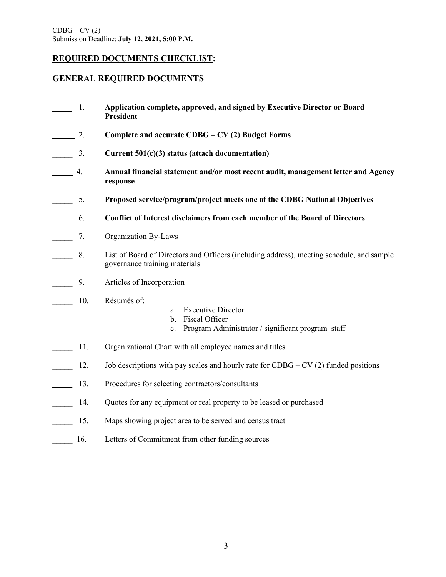### **REQUIRED DOCUMENTS CHECKLIST:**

### **GENERAL REQUIRED DOCUMENTS**

- 1. **Application complete, approved, and signed by Executive Director or Board President** 2. **Complete and accurate CDBG – CV (2) Budget Forms \_\_\_\_\_** 3. **Current 501(c)(3) status (attach documentation)** 4. **Annual financial statement and/or most recent audit, management letter and Agency response** \_\_\_\_\_ 5. **Proposed service/program/project meets one of the CDBG National Objectives** \_\_\_\_\_ 6. **Conflict of Interest disclaimers from each member of the Board of Directors** \_\_\_\_\_ 7. Organization By-Laws \_\_\_\_\_ 8. List of Board of Directors and Officers (including address), meeting schedule, and sample governance training materials \_\_\_\_\_ 9. Articles of Incorporation \_\_\_\_\_ 10. Résumés of: a. Executive Director b. Fiscal Officer c. Program Administrator / significant program staff 11. Organizational Chart with all employee names and titles 12. Job descriptions with pay scales and hourly rate for CDBG – CV (2) funded positions
- 13. Procedures for selecting contractors/consultants
- 14. Quotes for any equipment or real property to be leased or purchased
- 15. Maps showing project area to be served and census tract
- 16. Letters of Commitment from other funding sources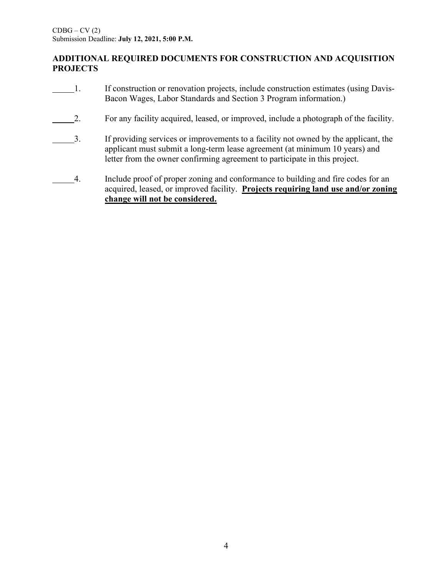## **ADDITIONAL REQUIRED DOCUMENTS FOR CONSTRUCTION AND ACQUISITION PROJECTS**

- 1. If construction or renovation projects, include construction estimates (using Davis-Bacon Wages, Labor Standards and Section 3 Program information.)
- 2. For any facility acquired, leased, or improved, include a photograph of the facility.
- 3. If providing services or improvements to a facility not owned by the applicant, the applicant must submit a long-term lease agreement (at minimum 10 years) and letter from the owner confirming agreement to participate in this project.
- 4. Include proof of proper zoning and conformance to building and fire codes for an acquired, leased, or improved facility. **Projects requiring land use and/or zoning change will not be considered.**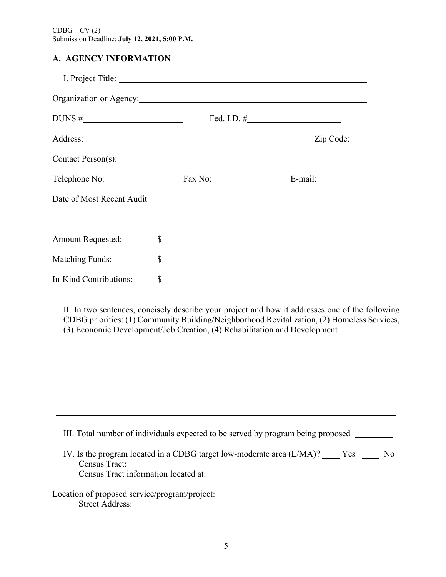# **A. AGENCY INFORMATION** *(please refer to page 15 of application instructions)*

|                                               | Organization or Agency:                                                   |                                                                                              |
|-----------------------------------------------|---------------------------------------------------------------------------|----------------------------------------------------------------------------------------------|
|                                               |                                                                           | Fed. I.D. $\#$                                                                               |
|                                               |                                                                           |                                                                                              |
|                                               |                                                                           |                                                                                              |
|                                               |                                                                           |                                                                                              |
|                                               |                                                                           |                                                                                              |
| <b>Amount Requested:</b>                      |                                                                           | s                                                                                            |
| <b>Matching Funds:</b>                        |                                                                           |                                                                                              |
| In-Kind Contributions:                        |                                                                           | $\frac{1}{2}$                                                                                |
|                                               | (3) Economic Development/Job Creation, (4) Rehabilitation and Development | CDBG priorities: (1) Community Building/Neighborhood Revitalization, (2) Homeless Services,  |
|                                               |                                                                           | III. Total number of individuals expected to be served by program being proposed ________    |
|                                               | Census Tract:<br>Census Tract information located at:                     | IV. Is the program located in a CDBG target low-moderate area $(L/MA)$ ? _____ Yes ______ No |
| Location of proposed service/program/project: | Street Address:                                                           |                                                                                              |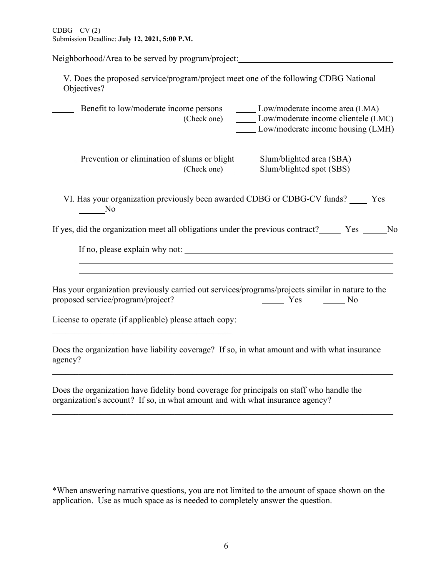Neighborhood/Area to be served by program/project:

V. Does the proposed service/program/project meet one of the following CDBG National Objectives?

 Benefit to low/moderate income persons Low/moderate income area (LMA) (Check one) Low/moderate income clientele (LMC) Low/moderate income housing (LMH)

Prevention or elimination of slums or blight \_\_\_\_\_\_ Slum/blighted area (SBA) (Check one) Slum/blighted spot (SBS)

VI. Has your organization previously been awarded CDBG or CDBG-CV funds? \_\_\_\_\_ Yes No

If yes, did the organization meet all obligations under the previous contract? Yes No

If no, please explain why not:

Has your organization previously carried out services/programs/projects similar in nature to the proposed service/program/project? Yes No

License to operate (if applicable) please attach copy:

Does the organization have liability coverage? If so, in what amount and with what insurance agency?

\_\_\_\_\_\_\_\_\_\_\_\_\_\_\_\_\_\_\_\_\_\_\_\_\_\_\_\_\_\_\_\_\_\_\_\_\_\_\_\_\_\_\_\_\_\_\_\_\_\_\_\_\_\_\_\_\_\_\_\_\_\_\_\_\_\_\_\_\_\_\_\_\_\_\_\_\_\_

Does the organization have fidelity bond coverage for principals on staff who handle the organization's account? If so, in what amount and with what insurance agency?

\*When answering narrative questions, you are not limited to the amount of space shown on the application. Use as much space as is needed to completely answer the question.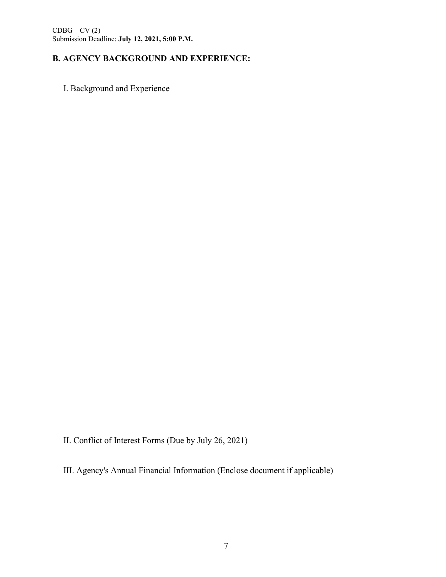# **B.** AGENCY BACKGROUND AND EXPERIENCE:

I. Background and Experience

II. Conflict of Interest Forms (Due by July 26, 2021)

III. Agency's Annual Financial Information (Enclose document if applicable)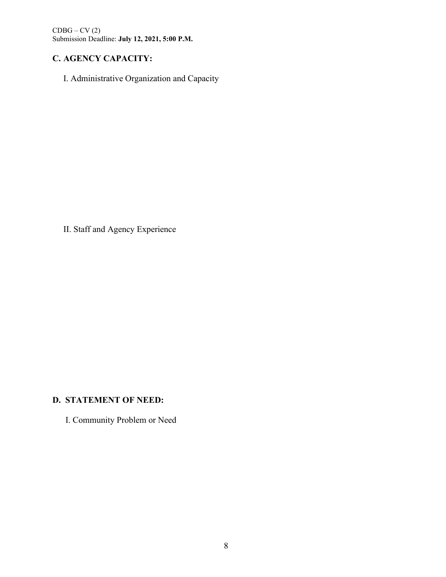# **C. AGENCY CAPACITY:** *(please refer to page 16 of application instructions)*

I. Administrative Organization and Capacity

II. Staff and Agency Experience

# **D. STATEMENT OF NEED:**

I. Community Problem or Need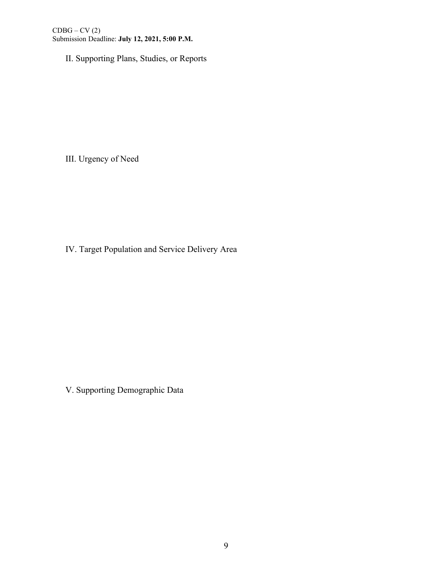II. Supporting Plans, Studies, or Reports

III. Urgency of Need

IV. Target Population and Service Delivery Area

V. Supporting Demographic Data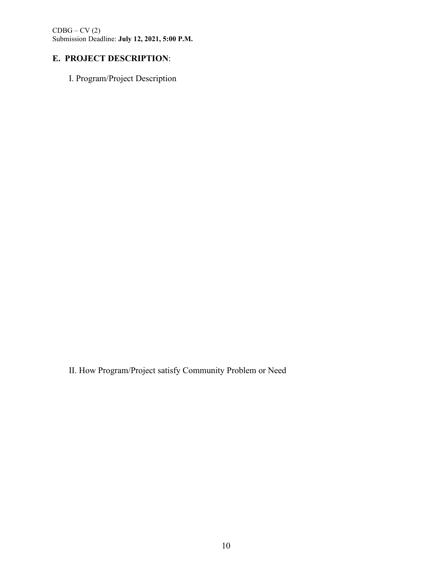CDBG – CV (2)

Submission Deadline: **July 12, 2021, 5:00 P.M.**

# **E. PROJECT DESCRIPTION:**

I. Program/Project Description

II. How Program/Project satisfy Community Problem or Need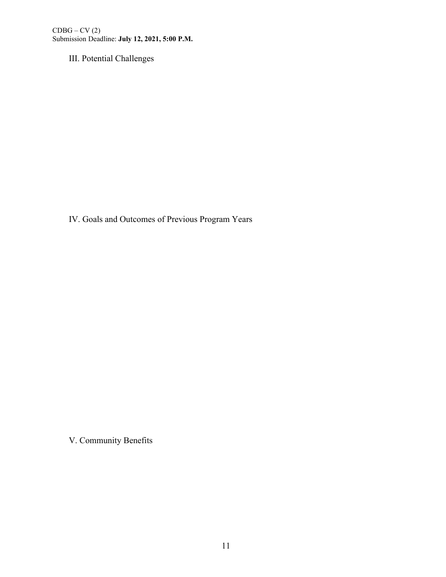III. Potential Challenges

IV. Goals and Outcomes of Previous Program Years

V. Community Benefits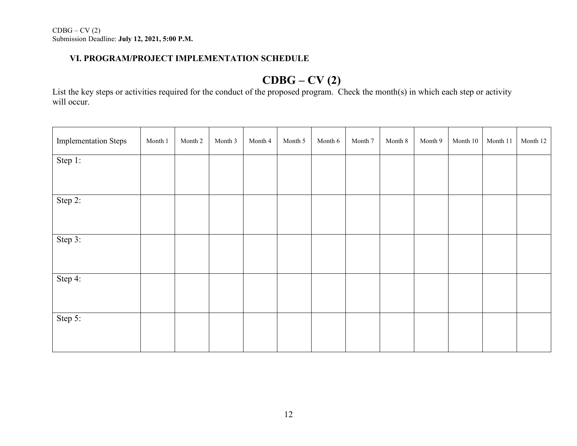## **VI. PROGRAM/PROJECT IMPLEMENTATION SCHEDULE** *(please refer to pages 17-18 of application instructions)*

# **CDBG – CV (2)**

List the key steps or activities required for the conduct of the proposed program. Check the month(s) in which each step or activity will occur.

| <b>Implementation Steps</b> | Month 1 | Month 2 | Month 3 | Month 4 | Month 5 | Month 6 | Month 7 | Month 8 | Month 9 | Month $10\,$ | Month 11 | Month 12 |
|-----------------------------|---------|---------|---------|---------|---------|---------|---------|---------|---------|--------------|----------|----------|
| Step 1:                     |         |         |         |         |         |         |         |         |         |              |          |          |
| Step 2:                     |         |         |         |         |         |         |         |         |         |              |          |          |
| Step 3:                     |         |         |         |         |         |         |         |         |         |              |          |          |
| Step 4:                     |         |         |         |         |         |         |         |         |         |              |          |          |
| Step 5:                     |         |         |         |         |         |         |         |         |         |              |          |          |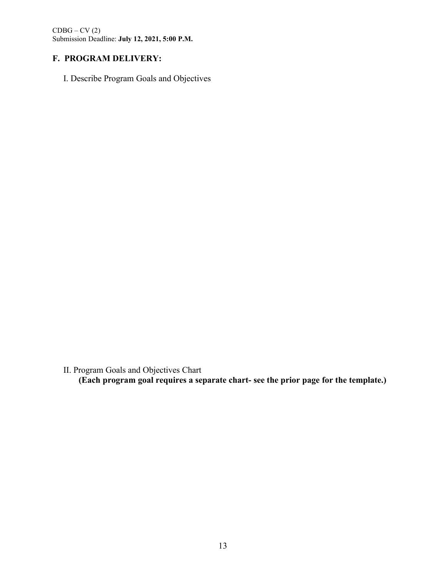$CDBG - CV(2)$ 

Submission Deadline: **July 12, 2021, 5:00 P.M.**

# **F. PROGRAM DELIVERY:**

I. Describe Program Goals and Objectives

II. Program Goals and Objectives Chart

**(Each program goal requires a separate chart- see the prior page for the template.)**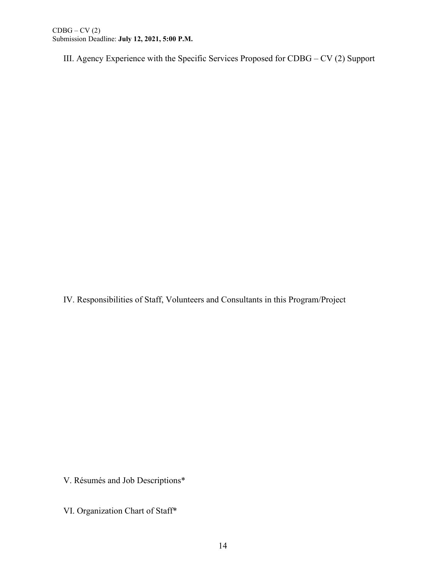III. Agency Experience with the Specific Services Proposed for CDBG – CV (2) Support

IV. Responsibilities of Staff, Volunteers and Consultants in this Program/Project

V. Résumés and Job Descriptions\*

VI. Organization Chart of Staff\*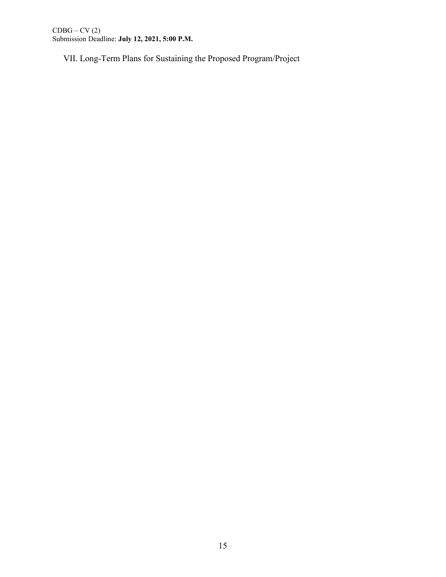VII. Long-Term Plans for Sustaining the Proposed Program/Project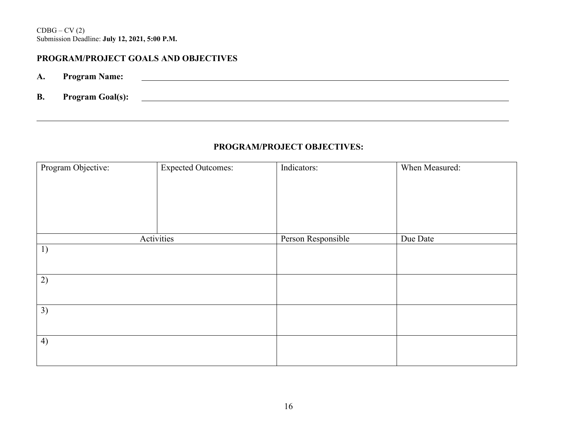# **PROGRAM/PROJECT GOALS AND OBJECTIVES** *(See instructions pages 20-23 of application instructions.)*

- **A. Program Name:**
- **B. Program Goal(s):**

### **PROGRAM/PROJECT OBJECTIVES:**

<u> 1980 - Johann Stoff, die besteht der Stoffens und die Stoffens und die Stoffens und die Stoffens und die Stoffens</u>

| Program Objective: | <b>Expected Outcomes:</b> | Indicators:        | When Measured: |
|--------------------|---------------------------|--------------------|----------------|
|                    |                           |                    |                |
|                    |                           |                    |                |
|                    |                           |                    |                |
|                    |                           |                    |                |
|                    | Activities                | Person Responsible | Due Date       |
| 1)                 |                           |                    |                |
|                    |                           |                    |                |
| 2)                 |                           |                    |                |
|                    |                           |                    |                |
| 3)                 |                           |                    |                |
|                    |                           |                    |                |
| 4)                 |                           |                    |                |
|                    |                           |                    |                |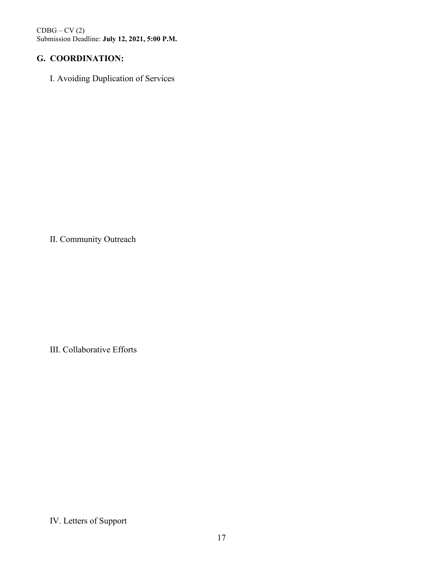# **G. COORDINATION:**

I. Avoiding Duplication of Services

II. Community Outreach

III. Collaborative Efforts

IV. Letters of Support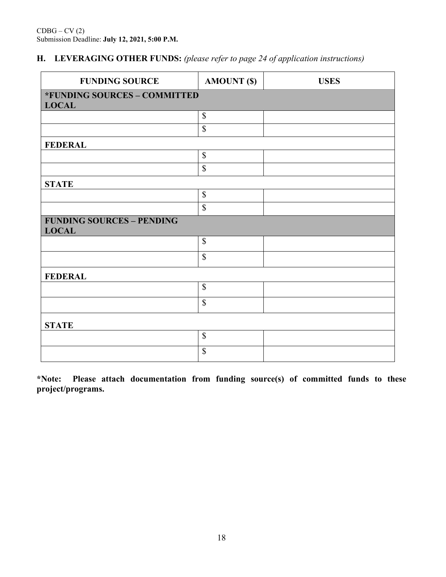# **H. LEVERAGING OTHER FUNDS:** *(please refer to page 24 of application instructions)*

| <b>FUNDING SOURCE</b>                            | <b>AMOUNT (\$)</b>        | <b>USES</b> |
|--------------------------------------------------|---------------------------|-------------|
| *FUNDING SOURCES - COMMITTED<br><b>LOCAL</b>     |                           |             |
|                                                  | $\mathbb{S}$              |             |
|                                                  | $\boldsymbol{\mathsf{S}}$ |             |
| <b>FEDERAL</b>                                   |                           |             |
|                                                  | $\mathbb{S}$              |             |
|                                                  | \$                        |             |
| <b>STATE</b>                                     |                           |             |
|                                                  | $\$$                      |             |
|                                                  | $\mathbb{S}$              |             |
| <b>FUNDING SOURCES - PENDING</b><br><b>LOCAL</b> |                           |             |
|                                                  | $\$$                      |             |
|                                                  | $\mathbb{S}$              |             |
| <b>FEDERAL</b>                                   |                           |             |
|                                                  | $\mathbb S$               |             |
|                                                  | $\boldsymbol{\mathsf{S}}$ |             |
| <b>STATE</b>                                     |                           |             |
|                                                  | $\mathbb S$               |             |
|                                                  | \$                        |             |

**\*Note: Please attach documentation from funding source(s) of committed funds to these project/programs.**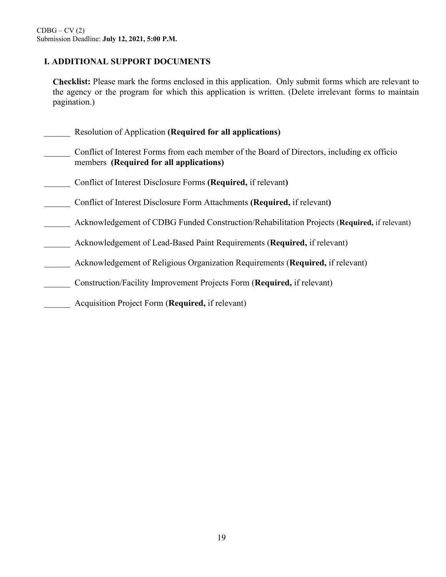## **I. ADDITIONAL SUPPORT DOCUMENTS** *(please refer to page 25 of application instructions)*

**Checklist:** Please mark the forms enclosed in this application. Only submit forms which are relevant to the agency or the program for which this application is written. (Delete irrelevant forms to maintain pagination.)

- \_\_\_\_\_\_ Resolution of Application **(Required for all applications)**
- Conflict of Interest Forms from each member of the Board of Directors, including ex officio members **(Required for all applications)**
- \_\_\_\_\_\_ Conflict of Interest Disclosure Forms **(Required,** if relevant**)**
- \_\_\_\_\_\_ Conflict of Interest Disclosure Form Attachments **(Required,** if relevant**)**
- \_\_\_\_\_\_ Acknowledgement of CDBG Funded Construction/Rehabilitation Projects (**Required,** if relevant)
- \_\_\_\_\_\_ Acknowledgement of Lead-Based Paint Requirements (**Required,** if relevant)
- \_\_\_\_\_\_ Acknowledgement of Religious Organization Requirements (**Required,** if relevant)
- \_\_\_\_\_\_ Construction/Facility Improvement Projects Form (**Required,** if relevant)
- \_\_\_\_\_\_ Acquisition Project Form (**Required,** if relevant)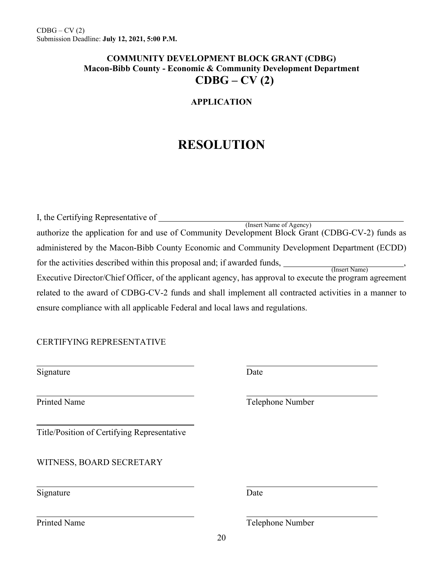# **COMMUNITY DEVELOPMENT BLOCK GRANT (CDBG) Macon-Bibb County - Economic & Community Development Department CDBG – CV (2)**

### **APPLICATION**

# **RESOLUTION**

| I, the Certifying Representative of                                                                                        |
|----------------------------------------------------------------------------------------------------------------------------|
| (Insert Name of Agency)<br>authorize the application for and use of Community Development Block Grant (CDBG-CV-2) funds as |
| administered by the Macon-Bibb County Economic and Community Development Department (ECDD)                                 |
| for the activities described within this proposal and; if awarded funds,<br>(Insert Name)                                  |
| Executive Director/Chief Officer, of the applicant agency, has approval to execute the program agreement                   |
| related to the award of CDBG-CV-2 funds and shall implement all contracted activities in a manner to                       |
| ensure compliance with all applicable Federal and local laws and regulations.                                              |

### CERTIFYING REPRESENTATIVE

Signature Date

Title/Position of Certifying Representative

WITNESS, BOARD SECRETARY

Signature Date

Printed Name Telephone Number

Printed Name Telephone Number

20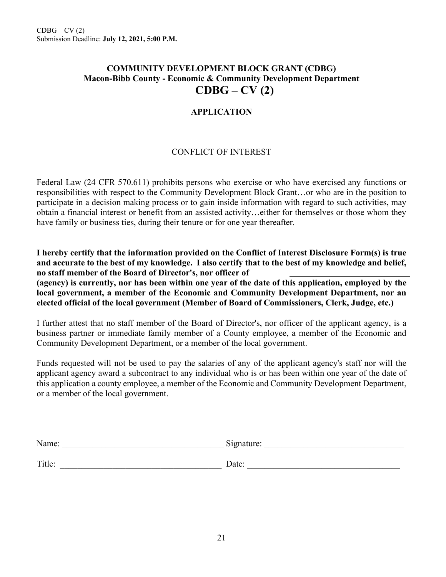# **COMMUNITY DEVELOPMENT BLOCK GRANT (CDBG) Macon-Bibb County - Economic & Community Development Department CDBG – CV (2)**

### **APPLICATION**

### CONFLICT OF INTEREST

Federal Law (24 CFR 570.611) prohibits persons who exercise or who have exercised any functions or responsibilities with respect to the Community Development Block Grant…or who are in the position to participate in a decision making process or to gain inside information with regard to such activities, may obtain a financial interest or benefit from an assisted activity…either for themselves or those whom they have family or business ties, during their tenure or for one year thereafter.

**I hereby certify that the information provided on the Conflict of Interest Disclosure Form(s) is true and accurate to the best of my knowledge. I also certify that to the best of my knowledge and belief, no staff member of the Board of Director's, nor officer of** 

**(agency) is currently, nor has been within one year of the date of this application, employed by the local government, a member of the Economic and Community Development Department, nor an elected official of the local government (Member of Board of Commissioners, Clerk, Judge, etc.)** 

I further attest that no staff member of the Board of Director's, nor officer of the applicant agency, is a business partner or immediate family member of a County employee, a member of the Economic and Community Development Department, or a member of the local government.

Funds requested will not be used to pay the salaries of any of the applicant agency's staff nor will the applicant agency award a subcontract to any individual who is or has been within one year of the date of this application a county employee, a member of the Economic and Community Development Department, or a member of the local government.

| Name:  | Signature: |
|--------|------------|
| Title: | Date:      |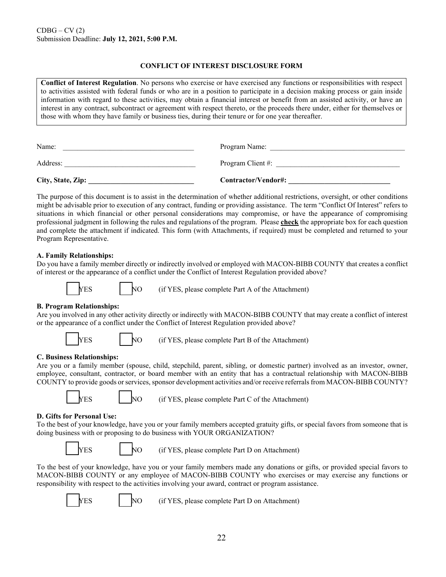#### **CONFLICT OF INTEREST DISCLOSURE FORM**

**Conflict of Interest Regulation**. No persons who exercise or have exercised any functions or responsibilities with respect to activities assisted with federal funds or who are in a position to participate in a decision making process or gain inside information with regard to these activities, may obtain a financial interest or benefit from an assisted activity, or have an interest in any contract, subcontract or agreement with respect thereto, or the proceeds there under, either for themselves or those with whom they have family or business ties, during their tenure or for one year thereafter.

| City, State, Zip: | Contractor/Vendor#: |
|-------------------|---------------------|
| Address:          | Program Client #:   |
| Name:             | Program Name:       |

The purpose of this document is to assist in the determination of whether additional restrictions, oversight, or other conditions might be advisable prior to execution of any contract, funding or providing assistance. The term "Conflict Of Interest" refers to situations in which financial or other personal considerations may compromise, or have the appearance of compromising professional judgment in following the rules and regulations of the program. Please **check** the appropriate box for each question and complete the attachment if indicated. This form (with Attachments, if required) must be completed and returned to your Program Representative.

#### **A. Family Relationships:**

Do you have a family member directly or indirectly involved or employed with MACON-BIBB COUNTY that creates a conflict of interest or the appearance of a conflict under the Conflict of Interest Regulation provided above?

$$
\overline{\phantom{1}}_{\text{YE}}
$$

 $\text{NO}$  (if YES, please complete Part A of the Attachment)

#### **B. Program Relationships:**

Are you involved in any other activity directly or indirectly with MACON-BIBB COUNTY that may create a conflict of interest or the appearance of a conflict under the Conflict of Interest Regulation provided above?



YES NO (if YES, please complete Part B of the Attachment)

#### **C. Business Relationships:**

Are you or a family member (spouse, child, stepchild, parent, sibling, or domestic partner) involved as an investor, owner, employee, consultant, contractor, or board member with an entity that has a contractual relationship with MACON-BIBB COUNTY to provide goods or services, sponsor development activities and/or receive referrals from MACON-BIBB COUNTY?



 $YES$  NO (if YES, please complete Part C of the Attachment)

#### **D. Gifts for Personal Use:**

To the best of your knowledge, have you or your family members accepted gratuity gifts, or special favors from someone that is doing business with or proposing to do business with YOUR ORGANIZATION?

YES NO (if YES, please complete Part D on Attachment)

To the best of your knowledge, have you or your family members made any donations or gifts, or provided special favors to MACON-BIBB COUNTY or any employee of MACON-BIBB COUNTY who exercises or may exercise any functions or responsibility with respect to the activities involving your award, contract or program assistance.



 $YES$  NO (if YES, please complete Part D on Attachment)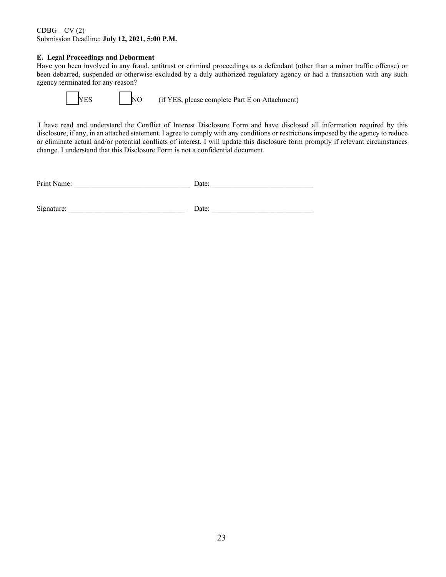#### **E. Legal Proceedings and Debarment**

Have you been involved in any fraud, antitrust or criminal proceedings as a defendant (other than a minor traffic offense) or been debarred, suspended or otherwise excluded by a duly authorized regulatory agency or had a transaction with any such agency terminated for any reason?

YES NO (if YES, please complete Part E on Attachment)

I have read and understand the Conflict of Interest Disclosure Form and have disclosed all information required by this disclosure, if any, in an attached statement. I agree to comply with any conditions or restrictions imposed by the agency to reduce or eliminate actual and/or potential conflicts of interest. I will update this disclosure form promptly if relevant circumstances change. I understand that this Disclosure Form is not a confidential document.

| Print<br>vame. | Jate |  |
|----------------|------|--|
|                |      |  |

 $Signature:$  Date: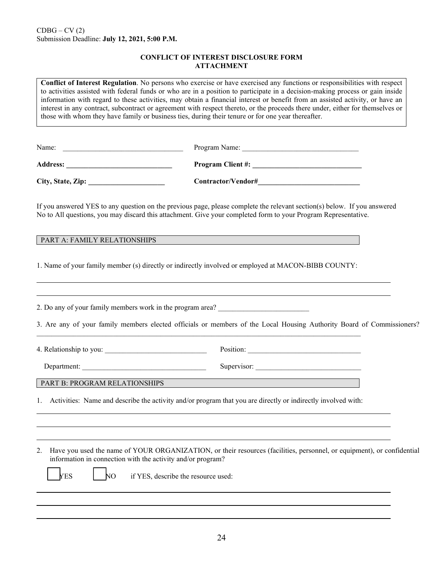#### **CONFLICT OF INTEREST DISCLOSURE FORM ATTACHMENT**

**Conflict of Interest Regulation**. No persons who exercise or have exercised any functions or responsibilities with respect to activities assisted with federal funds or who are in a position to participate in a decision-making process or gain inside information with regard to these activities, may obtain a financial interest or benefit from an assisted activity, or have an interest in any contract, subcontract or agreement with respect thereto, or the proceeds there under, either for themselves or those with whom they have family or business ties, during their tenure or for one year thereafter.

| Name:             | Program Name:            |
|-------------------|--------------------------|
| <b>Address:</b>   | <b>Program Client #:</b> |
| City, State, Zip: | Contractor/Vendor#       |

If you answered YES to any question on the previous page, please complete the relevant section(s) below. If you answered No to All questions, you may discard this attachment. Give your completed form to your Program Representative.

#### PART A: FAMILY RELATIONSHIPS

1. Name of your family member (s) directly or indirectly involved or employed at MACON-BIBB COUNTY:

| 2. Do any of your family members work in the program area? ______________________                               | 3. Are any of your family members elected officials or members of the Local Housing Authority Board of Commissioners? |
|-----------------------------------------------------------------------------------------------------------------|-----------------------------------------------------------------------------------------------------------------------|
|                                                                                                                 |                                                                                                                       |
| Department:                                                                                                     |                                                                                                                       |
| PART B: PROGRAM RELATIONSHIPS                                                                                   | <u> 1989 - Johann Stein, marwolaethau (b. 1989)</u>                                                                   |
| 1. Activities: Name and describe the activity and/or program that you are directly or indirectly involved with: |                                                                                                                       |
|                                                                                                                 |                                                                                                                       |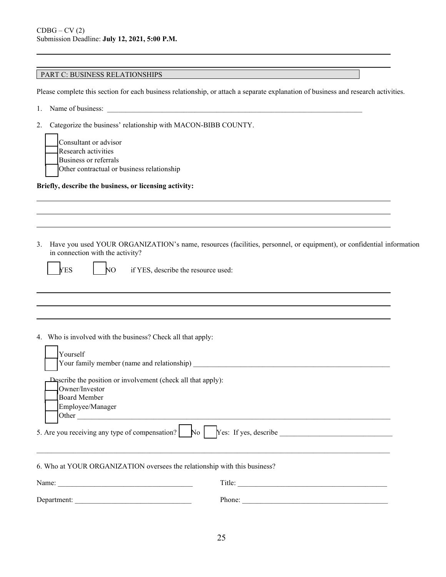### PART C: BUSINESS RELATIONSHIPS

Please complete this section for each business relationship, or attach a separate explanation of business and research activities.

- 1. Name of business:
- 2. Categorize the business' relationship with MACON-BIBB COUNTY.
	- Consultant or advisor Research activities Business or referrals Other contractual or business relationship

#### **Briefly, describe the business, or licensing activity:**

3. Have you used YOUR ORGANIZATION's name, resources (facilities, personnel, or equipment), or confidential information in connection with the activity?

|--|

S NO if YES, describe the resource used:

4. Who is involved with the business? Check all that apply:

| Yourself                                                                                                                                                                                          |        |  |  |  |  |  |  |
|---------------------------------------------------------------------------------------------------------------------------------------------------------------------------------------------------|--------|--|--|--|--|--|--|
| Your family member (name and relationship)                                                                                                                                                        |        |  |  |  |  |  |  |
| Describe the position or involvement (check all that apply):<br>Owner/Investor<br>Board Member<br>Employee/Manager<br>5. Are you receiving any type of compensation?   No   Yes: If yes, describe |        |  |  |  |  |  |  |
| 6. Who at YOUR ORGANIZATION oversees the relationship with this business?                                                                                                                         |        |  |  |  |  |  |  |
| Name:                                                                                                                                                                                             | Title: |  |  |  |  |  |  |
| Department:                                                                                                                                                                                       | Phone: |  |  |  |  |  |  |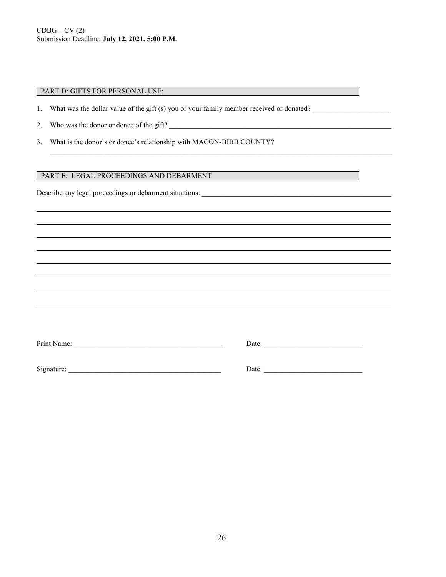#### PART D: GIFTS FOR PERSONAL USE:

1. What was the dollar value of the gift (s) you or your family member received or donated?

\_\_\_\_\_\_\_\_\_\_\_\_\_\_\_\_\_\_\_\_\_\_\_\_\_\_\_\_\_\_\_\_\_\_\_\_\_\_\_\_\_\_\_\_\_\_\_\_\_\_\_\_\_\_\_\_\_\_\_\_\_\_\_\_\_\_\_\_\_\_\_\_\_\_\_\_\_\_\_\_\_\_\_\_\_\_\_\_\_\_\_\_\_\_

- 2. Who was the donor or donee of the gift?
- 3. What is the donor's or donee's relationship with MACON-BIBB COUNTY?

#### PART E: LEGAL PROCEEDINGS AND DEBARMENT

Describe any legal proceedings or debarment situations: \_\_\_\_\_\_\_\_\_\_\_\_\_\_\_\_\_\_\_\_\_\_\_\_\_\_\_\_\_\_\_\_\_\_\_\_\_\_\_\_\_\_\_\_\_\_\_\_\_\_\_\_

| Print Name: | Date: |  |
|-------------|-------|--|
| Signature:  | Date: |  |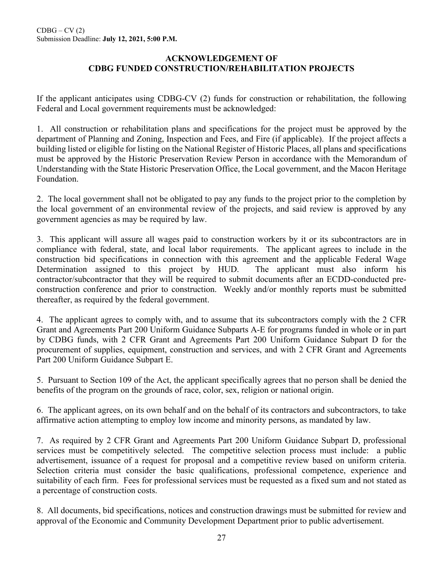### **ACKNOWLEDGEMENT OF CDBG FUNDED CONSTRUCTION/REHABILITATION PROJECTS**

If the applicant anticipates using CDBG-CV (2) funds for construction or rehabilitation, the following Federal and Local government requirements must be acknowledged:

1. All construction or rehabilitation plans and specifications for the project must be approved by the department of Planning and Zoning, Inspection and Fees, and Fire (if applicable). If the project affects a building listed or eligible for listing on the National Register of Historic Places, all plans and specifications must be approved by the Historic Preservation Review Person in accordance with the Memorandum of Understanding with the State Historic Preservation Office, the Local government, and the Macon Heritage Foundation.

2. The local government shall not be obligated to pay any funds to the project prior to the completion by the local government of an environmental review of the projects, and said review is approved by any government agencies as may be required by law.

3. This applicant will assure all wages paid to construction workers by it or its subcontractors are in compliance with federal, state, and local labor requirements. The applicant agrees to include in the construction bid specifications in connection with this agreement and the applicable Federal Wage Determination assigned to this project by HUD. The applicant must also inform his contractor/subcontractor that they will be required to submit documents after an ECDD-conducted preconstruction conference and prior to construction. Weekly and/or monthly reports must be submitted thereafter, as required by the federal government.

4. The applicant agrees to comply with, and to assume that its subcontractors comply with the 2 CFR Grant and Agreements Part 200 Uniform Guidance Subparts A-E for programs funded in whole or in part by CDBG funds, with 2 CFR Grant and Agreements Part 200 Uniform Guidance Subpart D for the procurement of supplies, equipment, construction and services, and with 2 CFR Grant and Agreements Part 200 Uniform Guidance Subpart E.

5. Pursuant to Section 109 of the Act, the applicant specifically agrees that no person shall be denied the benefits of the program on the grounds of race, color, sex, religion or national origin.

6. The applicant agrees, on its own behalf and on the behalf of its contractors and subcontractors, to take affirmative action attempting to employ low income and minority persons, as mandated by law.

7. As required by 2 CFR Grant and Agreements Part 200 Uniform Guidance Subpart D, professional services must be competitively selected. The competitive selection process must include: a public advertisement, issuance of a request for proposal and a competitive review based on uniform criteria. Selection criteria must consider the basic qualifications, professional competence, experience and suitability of each firm. Fees for professional services must be requested as a fixed sum and not stated as a percentage of construction costs.

8. All documents, bid specifications, notices and construction drawings must be submitted for review and approval of the Economic and Community Development Department prior to public advertisement.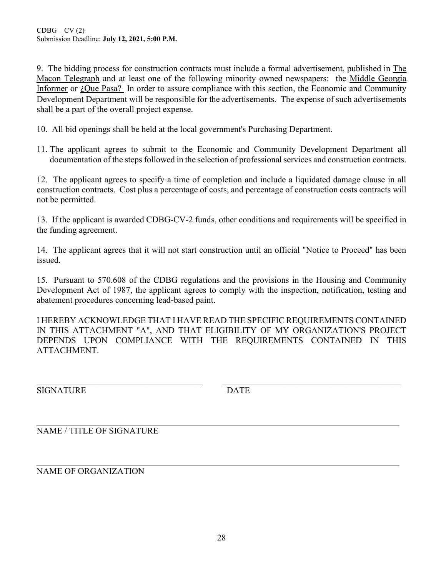9. The bidding process for construction contracts must include a formal advertisement, published in The Macon Telegraph and at least one of the following minority owned newspapers: the Middle Georgia Informer or ¿Que Pasa? In order to assure compliance with this section, the Economic and Community Development Department will be responsible for the advertisements. The expense of such advertisements shall be a part of the overall project expense.

10. All bid openings shall be held at the local government's Purchasing Department.

11. The applicant agrees to submit to the Economic and Community Development Department all documentation of the steps followed in the selection of professional services and construction contracts.

12. The applicant agrees to specify a time of completion and include a liquidated damage clause in all construction contracts. Cost plus a percentage of costs, and percentage of construction costs contracts will not be permitted.

13. If the applicant is awarded CDBG-CV-2 funds, other conditions and requirements will be specified in the funding agreement.

14. The applicant agrees that it will not start construction until an official "Notice to Proceed" has been issued.

15. Pursuant to 570.608 of the CDBG regulations and the provisions in the Housing and Community Development Act of 1987, the applicant agrees to comply with the inspection, notification, testing and abatement procedures concerning lead-based paint.

I HEREBY ACKNOWLEDGE THAT I HAVE READ THE SPECIFIC REQUIREMENTS CONTAINED IN THIS ATTACHMENT "A", AND THAT ELIGIBILITY OF MY ORGANIZATION'S PROJECT DEPENDS UPON COMPLIANCE WITH THE REQUIREMENTS CONTAINED IN THIS ATTACHMENT.

\_\_\_\_\_\_\_\_\_\_\_\_\_\_\_\_\_\_\_\_\_\_\_\_\_\_\_\_\_\_\_\_\_\_\_\_\_\_\_\_\_\_\_\_\_\_\_\_\_\_\_\_\_\_\_\_\_\_\_\_\_\_\_\_\_\_\_\_\_\_\_\_\_\_\_\_\_\_\_\_\_\_\_

SIGNATURE DATE

NAME / TITLE OF SIGNATURE

\_\_\_\_\_\_\_\_\_\_\_\_\_\_\_\_\_\_\_\_\_\_\_\_\_\_\_\_\_\_\_\_\_\_\_\_\_\_\_\_\_\_\_\_\_\_\_\_\_\_\_\_\_\_\_\_\_\_\_\_\_\_\_\_\_\_\_\_\_\_\_\_\_\_\_\_\_\_\_\_\_\_\_ NAME OF ORGANIZATION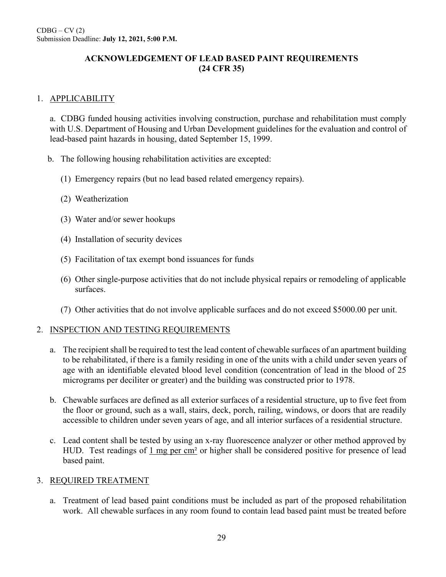### **ACKNOWLEDGEMENT OF LEAD BASED PAINT REQUIREMENTS (24 CFR 35)**

### 1. APPLICABILITY

a. CDBG funded housing activities involving construction, purchase and rehabilitation must comply with U.S. Department of Housing and Urban Development guidelines for the evaluation and control of lead-based paint hazards in housing, dated September 15, 1999.

- b. The following housing rehabilitation activities are excepted:
	- (1) Emergency repairs (but no lead based related emergency repairs).
	- (2) Weatherization
	- (3) Water and/or sewer hookups
	- (4) Installation of security devices
	- (5) Facilitation of tax exempt bond issuances for funds
	- (6) Other single-purpose activities that do not include physical repairs or remodeling of applicable surfaces.
	- (7) Other activities that do not involve applicable surfaces and do not exceed \$5000.00 per unit.

### 2. INSPECTION AND TESTING REQUIREMENTS

- a. The recipient shall be required to test the lead content of chewable surfaces of an apartment building to be rehabilitated, if there is a family residing in one of the units with a child under seven years of age with an identifiable elevated blood level condition (concentration of lead in the blood of 25 micrograms per deciliter or greater) and the building was constructed prior to 1978.
- b. Chewable surfaces are defined as all exterior surfaces of a residential structure, up to five feet from the floor or ground, such as a wall, stairs, deck, porch, railing, windows, or doors that are readily accessible to children under seven years of age, and all interior surfaces of a residential structure.
- c. Lead content shall be tested by using an x-ray fluorescence analyzer or other method approved by HUD. Test readings of 1 mg per cm<sup>2</sup> or higher shall be considered positive for presence of lead based paint.

### 3. REQUIRED TREATMENT

a. Treatment of lead based paint conditions must be included as part of the proposed rehabilitation work. All chewable surfaces in any room found to contain lead based paint must be treated before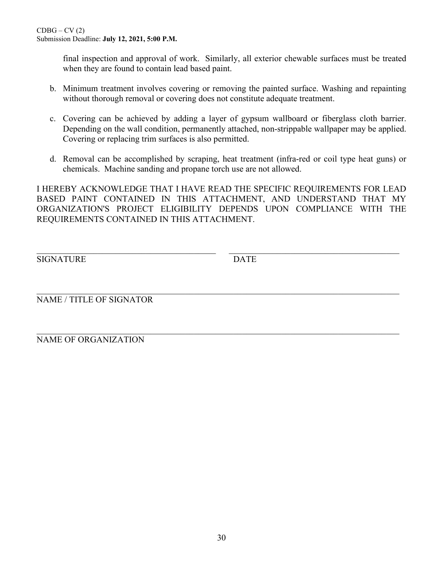final inspection and approval of work. Similarly, all exterior chewable surfaces must be treated when they are found to contain lead based paint.

- b. Minimum treatment involves covering or removing the painted surface. Washing and repainting without thorough removal or covering does not constitute adequate treatment.
- c. Covering can be achieved by adding a layer of gypsum wallboard or fiberglass cloth barrier. Depending on the wall condition, permanently attached, non-strippable wallpaper may be applied. Covering or replacing trim surfaces is also permitted.
- d. Removal can be accomplished by scraping, heat treatment (infra-red or coil type heat guns) or chemicals. Machine sanding and propane torch use are not allowed.

I HEREBY ACKNOWLEDGE THAT I HAVE READ THE SPECIFIC REQUIREMENTS FOR LEAD BASED PAINT CONTAINED IN THIS ATTACHMENT, AND UNDERSTAND THAT MY ORGANIZATION'S PROJECT ELIGIBILITY DEPENDS UPON COMPLIANCE WITH THE REQUIREMENTS CONTAINED IN THIS ATTACHMENT.

\_\_\_\_\_\_\_\_\_\_\_\_\_\_\_\_\_\_\_\_\_\_\_\_\_\_\_\_\_\_\_\_\_\_\_\_\_\_\_\_\_ \_\_\_\_\_\_\_\_\_\_\_\_\_\_\_\_\_\_\_\_\_\_\_\_\_\_\_\_\_\_\_\_\_\_\_\_\_\_\_

SIGNATURE DATE

\_\_\_\_\_\_\_\_\_\_\_\_\_\_\_\_\_\_\_\_\_\_\_\_\_\_\_\_\_\_\_\_\_\_\_\_\_\_\_\_\_\_\_\_\_\_\_\_\_\_\_\_\_\_\_\_\_\_\_\_\_\_\_\_\_\_\_\_\_\_\_\_\_\_\_\_\_\_\_\_\_\_\_ NAME / TITLE OF SIGNATOR

NAME OF ORGANIZATION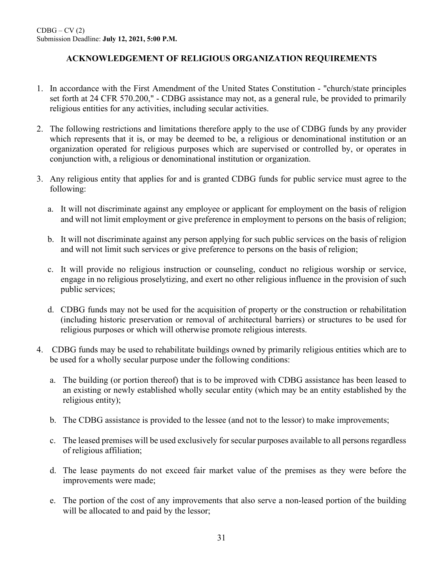# **ACKNOWLEDGEMENT OF RELIGIOUS ORGANIZATION REQUIREMENTS**

- 1. In accordance with the First Amendment of the United States Constitution "church/state principles set forth at 24 CFR 570.200," - CDBG assistance may not, as a general rule, be provided to primarily religious entities for any activities, including secular activities.
- 2. The following restrictions and limitations therefore apply to the use of CDBG funds by any provider which represents that it is, or may be deemed to be, a religious or denominational institution or an organization operated for religious purposes which are supervised or controlled by, or operates in conjunction with, a religious or denominational institution or organization.
- 3. Any religious entity that applies for and is granted CDBG funds for public service must agree to the following:
	- a. It will not discriminate against any employee or applicant for employment on the basis of religion and will not limit employment or give preference in employment to persons on the basis of religion;
	- b. It will not discriminate against any person applying for such public services on the basis of religion and will not limit such services or give preference to persons on the basis of religion;
	- c. It will provide no religious instruction or counseling, conduct no religious worship or service, engage in no religious proselytizing, and exert no other religious influence in the provision of such public services;
	- d. CDBG funds may not be used for the acquisition of property or the construction or rehabilitation (including historic preservation or removal of architectural barriers) or structures to be used for religious purposes or which will otherwise promote religious interests.
- 4. CDBG funds may be used to rehabilitate buildings owned by primarily religious entities which are to be used for a wholly secular purpose under the following conditions:
	- a. The building (or portion thereof) that is to be improved with CDBG assistance has been leased to an existing or newly established wholly secular entity (which may be an entity established by the religious entity);
	- b. The CDBG assistance is provided to the lessee (and not to the lessor) to make improvements;
	- c. The leased premises will be used exclusively for secular purposes available to all persons regardless of religious affiliation;
	- d. The lease payments do not exceed fair market value of the premises as they were before the improvements were made;
	- e. The portion of the cost of any improvements that also serve a non-leased portion of the building will be allocated to and paid by the lessor;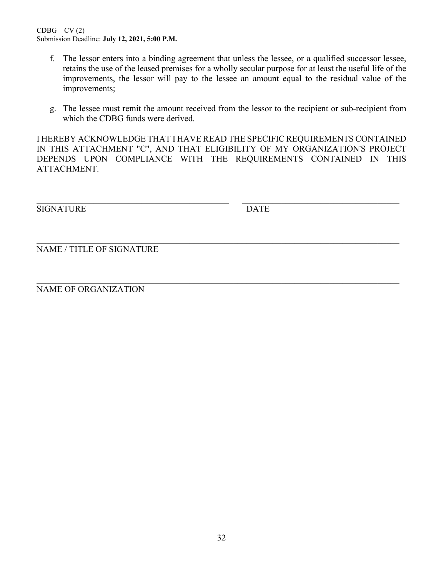- f. The lessor enters into a binding agreement that unless the lessee, or a qualified successor lessee, retains the use of the leased premises for a wholly secular purpose for at least the useful life of the improvements, the lessor will pay to the lessee an amount equal to the residual value of the improvements;
- g. The lessee must remit the amount received from the lessor to the recipient or sub-recipient from which the CDBG funds were derived.

I HEREBY ACKNOWLEDGE THAT I HAVE READ THE SPECIFIC REQUIREMENTS CONTAINED IN THIS ATTACHMENT "C", AND THAT ELIGIBILITY OF MY ORGANIZATION'S PROJECT DEPENDS UPON COMPLIANCE WITH THE REQUIREMENTS CONTAINED IN THIS ATTACHMENT.

\_\_\_\_\_\_\_\_\_\_\_\_\_\_\_\_\_\_\_\_\_\_\_\_\_\_\_\_\_\_\_\_\_\_\_\_\_\_\_\_\_\_\_\_ \_\_\_\_\_\_\_\_\_\_\_\_\_\_\_\_\_\_\_\_\_\_\_\_\_\_\_\_\_\_\_\_\_\_\_\_

SIGNATURE DATE

\_\_\_\_\_\_\_\_\_\_\_\_\_\_\_\_\_\_\_\_\_\_\_\_\_\_\_\_\_\_\_\_\_\_\_\_\_\_\_\_\_\_\_\_\_\_\_\_\_\_\_\_\_\_\_\_\_\_\_\_\_\_\_\_\_\_\_\_\_\_\_\_\_\_\_\_\_\_\_\_\_\_\_ NAME / TITLE OF SIGNATURE

NAME OF ORGANIZATION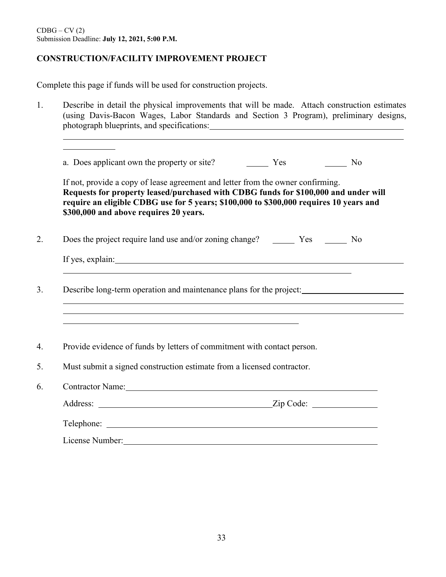### **CONSTRUCTION/FACILITY IMPROVEMENT PROJECT**

Complete this page if funds will be used for construction projects.

1. Describe in detail the physical improvements that will be made. Attach construction estimates (using Davis-Bacon Wages, Labor Standards and Section 3 Program), preliminary designs, photograph blueprints, and specifications: a. Does applicant own the property or site? The Mess Conservation of No If not, provide a copy of lease agreement and letter from the owner confirming. **Requests for property leased/purchased with CDBG funds for \$100,000 and under will require an eligible CDBG use for 5 years; \$100,000 to \$300,000 requires 10 years and \$300,000 and above requires 20 years.**  2. Does the project require land use and/or zoning change? The Yes No If yes, explain: 3. Describe long-term operation and maintenance plans for the project: 4. Provide evidence of funds by letters of commitment with contact person. 5. Must submit a signed construction estimate from a licensed contractor. 6. Contractor Name: Address: <u>Zip Code:</u> Zip Code: <u>Zip Code:</u> Telephone: License Number: No. 2008. Contract of the United States of the United States of the United States of the United States of the United States of the United States of the United States of the United States of the United State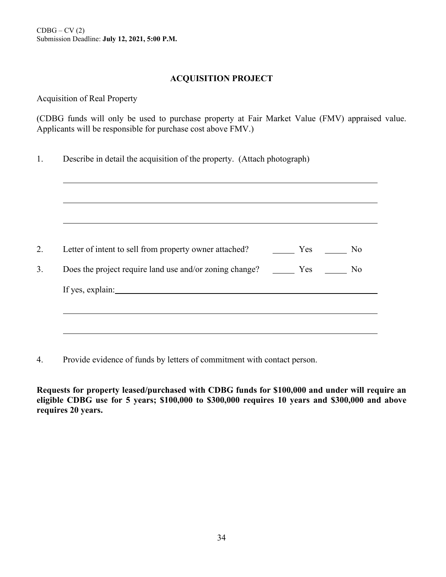### **ACQUISITION PROJECT**

Acquisition of Real Property

(CDBG funds will only be used to purchase property at Fair Market Value (FMV) appraised value. Applicants will be responsible for purchase cost above FMV.)

1. Describe in detail the acquisition of the property. (Attach photograph)

| Letter of intent to sell from property owner attached?            | Yes | $\overline{N}$ |
|-------------------------------------------------------------------|-----|----------------|
| Does the project require land use and/or zoning change? Fig. Pres |     | N <sub>o</sub> |
| If yes, explain:                                                  |     |                |

4. Provide evidence of funds by letters of commitment with contact person.

**Requests for property leased/purchased with CDBG funds for \$100,000 and under will require an eligible CDBG use for 5 years; \$100,000 to \$300,000 requires 10 years and \$300,000 and above requires 20 years.**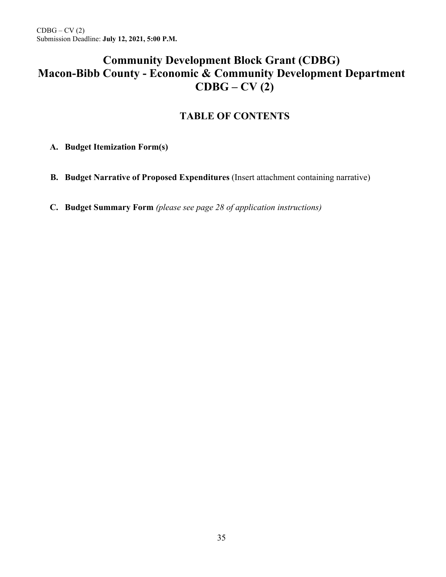# **Community Development Block Grant (CDBG) Macon-Bibb County - Economic & Community Development Department CDBG – CV (2)**

# **TABLE OF CONTENTS**

**A. Budget Itemization Form(s)** *(please see pages 26-27 of application instructions)*

- **B. Budget Narrative of Proposed Expenditures** (Insert attachment containing narrative)
- **C. Budget Summary Form** *(please see page 28 of application instructions)*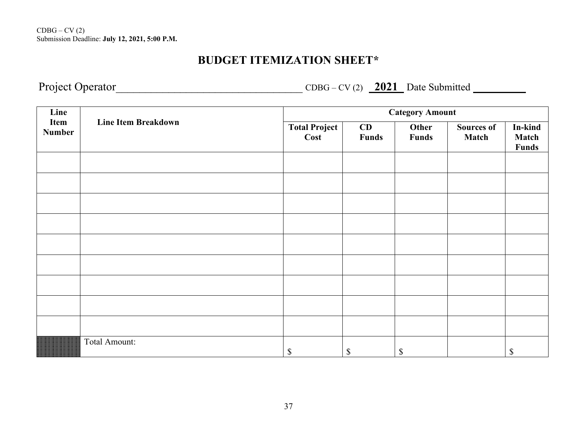# **BUDGET ITEMIZATION SHEET\***

Project Operator\_\_\_\_\_\_\_\_\_\_\_\_\_\_\_\_\_\_\_\_\_\_\_\_\_\_\_\_\_\_\_\_ CDBG – CV (2) **2021** Date Submitted **\_\_\_\_\_\_\_\_**

| Line                  | <b>Line Item Breakdown</b> | <b>Category Amount</b>       |                           |                       |                                   |                                         |
|-----------------------|----------------------------|------------------------------|---------------------------|-----------------------|-----------------------------------|-----------------------------------------|
| Item<br><b>Number</b> |                            | <b>Total Project</b><br>Cost | CD<br>Funds               | Other<br><b>Funds</b> | <b>Sources of</b><br><b>Match</b> | In-kind<br><b>Match</b><br><b>Funds</b> |
|                       |                            |                              |                           |                       |                                   |                                         |
|                       |                            |                              |                           |                       |                                   |                                         |
|                       |                            |                              |                           |                       |                                   |                                         |
|                       |                            |                              |                           |                       |                                   |                                         |
|                       |                            |                              |                           |                       |                                   |                                         |
|                       |                            |                              |                           |                       |                                   |                                         |
|                       |                            |                              |                           |                       |                                   |                                         |
|                       |                            |                              |                           |                       |                                   |                                         |
|                       |                            |                              |                           |                       |                                   |                                         |
|                       | Total Amount:              | \$                           | $\boldsymbol{\mathsf{S}}$ | \$                    |                                   | $\boldsymbol{\mathsf{S}}$               |